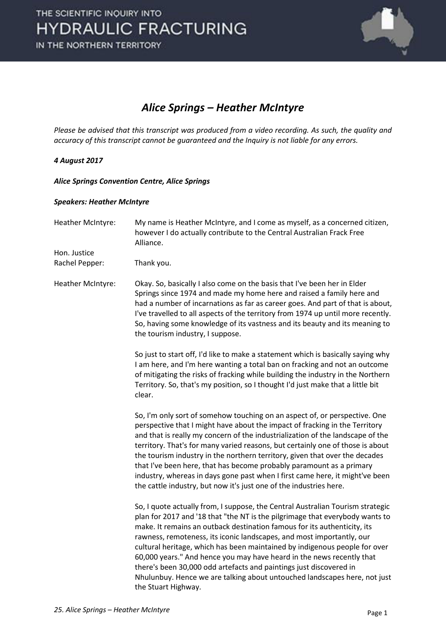

### *Alice Springs – Heather McIntyre*

*Please be advised that this transcript was produced from a video recording. As such, the quality and accuracy of this transcript cannot be guaranteed and the Inquiry is not liable for any errors.*

#### *4 August 2017*

*Alice Springs Convention Centre, Alice Springs* 

#### *Speakers: Heather McIntyre*

Heather McIntyre: My name is Heather McIntyre, and I come as myself, as a concerned citizen, however I do actually contribute to the Central Australian Frack Free Alliance. Hon. Justice Rachel Pepper: Thank you. Heather McIntyre: Okay. So, basically I also come on the basis that I've been her in Elder Springs since 1974 and made my home here and raised a family here and had a number of incarnations as far as career goes. And part of that is about, I've travelled to all aspects of the territory from 1974 up until more recently. So, having some knowledge of its vastness and its beauty and its meaning to the tourism industry, I suppose. So just to start off, I'd like to make a statement which is basically saying why I am here, and I'm here wanting a total ban on fracking and not an outcome of mitigating the risks of fracking while building the industry in the Northern Territory. So, that's my position, so I thought I'd just make that a little bit clear. So, I'm only sort of somehow touching on an aspect of, or perspective. One perspective that I might have about the impact of fracking in the Territory and that is really my concern of the industrialization of the landscape of the territory. That's for many varied reasons, but certainly one of those is about the tourism industry in the northern territory, given that over the decades that I've been here, that has become probably paramount as a primary industry, whereas in days gone past when I first came here, it might've been the cattle industry, but now it's just one of the industries here. So, I quote actually from, I suppose, the Central Australian Tourism strategic plan for 2017 and '18 that "the NT is the pilgrimage that everybody wants to make. It remains an outback destination famous for its authenticity, its rawness, remoteness, its iconic landscapes, and most importantly, our cultural heritage, which has been maintained by indigenous people for over 60,000 years." And hence you may have heard in the news recently that there's been 30,000 odd artefacts and paintings just discovered in Nhulunbuy. Hence we are talking about untouched landscapes here, not just the Stuart Highway.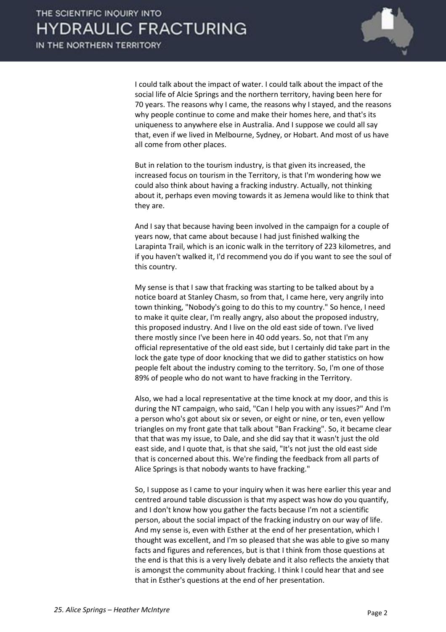

 I could talk about the impact of water. I could talk about the impact of the social life of Alcie Springs and the northern territory, having been here for 70 years. The reasons why I came, the reasons why I stayed, and the reasons why people continue to come and make their homes here, and that's its uniqueness to anywhere else in Australia. And I suppose we could all say that, even if we lived in Melbourne, Sydney, or Hobart. And most of us have all come from other places.

 But in relation to the tourism industry, is that given its increased, the increased focus on tourism in the Territory, is that I'm wondering how we could also think about having a fracking industry. Actually, not thinking about it, perhaps even moving towards it as Jemena would like to think that they are.

 And I say that because having been involved in the campaign for a couple of years now, that came about because I had just finished walking the Larapinta Trail, which is an iconic walk in the territory of 223 kilometres, and if you haven't walked it, I'd recommend you do if you want to see the soul of this country.

 My sense is that I saw that fracking was starting to be talked about by a notice board at Stanley Chasm, so from that, I came here, very angrily into town thinking, "Nobody's going to do this to my country." So hence, I need to make it quite clear, I'm really angry, also about the proposed industry, this proposed industry. And I live on the old east side of town. I've lived there mostly since I've been here in 40 odd years. So, not that I'm any official representative of the old east side, but I certainly did take part in the lock the gate type of door knocking that we did to gather statistics on how people felt about the industry coming to the territory. So, I'm one of those 89% of people who do not want to have fracking in the Territory.

 Also, we had a local representative at the time knock at my door, and this is during the NT campaign, who said, "Can I help you with any issues?" And I'm a person who's got about six or seven, or eight or nine, or ten, even yellow triangles on my front gate that talk about "Ban Fracking". So, it became clear that that was my issue, to Dale, and she did say that it wasn't just the old east side, and I quote that, is that she said, "It's not just the old east side that is concerned about this. We're finding the feedback from all parts of Alice Springs is that nobody wants to have fracking."

 So, I suppose as I came to your inquiry when it was here earlier this year and centred around table discussion is that my aspect was how do you quantify, and I don't know how you gather the facts because I'm not a scientific person, about the social impact of the fracking industry on our way of life. And my sense is, even with Esther at the end of her presentation, which I thought was excellent, and I'm so pleased that she was able to give so many facts and figures and references, but is that I think from those questions at the end is that this is a very lively debate and it also reflects the anxiety that is amongst the community about fracking. I think I could hear that and see that in Esther's questions at the end of her presentation.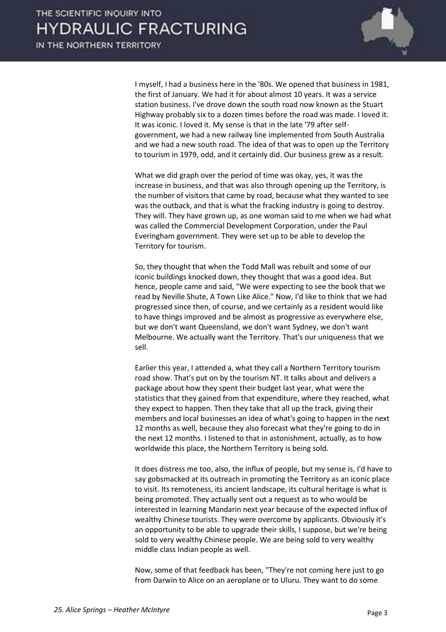

 I myself, I had a business here in the '80s. We opened that business in 1981, the first of January. We had it for about almost 10 years. It was a service station business. I've drove down the south road now known as the Stuart Highway probably six to a dozen times before the road was made. I loved it. It was iconic. I loved it. My sense is that in the late '79 after selfgovernment, we had a new railway line implemented from South Australia and we had a new south road. The idea of that was to open up the Territory to tourism in 1979, odd, and it certainly did. Our business grew as a result.

 What we did graph over the period of time was okay, yes, it was the increase in business, and that was also through opening up the Territory, is the number of visitors that came by road, because what they wanted to see was the outback, and that is what the fracking industry is going to destroy. They will. They have grown up, as one woman said to me when we had what was called the Commercial Development Corporation, under the Paul Everingham government. They were set up to be able to develop the Territory for tourism.

 So, they thought that when the Todd Mall was rebuilt and some of our iconic buildings knocked down, they thought that was a good idea. But hence, people came and said, "We were expecting to see the book that we read by Neville Shute, A Town Like Alice." Now, I'd like to think that we had progressed since then, of course, and we certainly as a resident would like to have things improved and be almost as progressive as everywhere else, but we don't want Queensland, we don't want Sydney, we don't want Melbourne. We actually want the Territory. That's our uniqueness that we sell.

 Earlier this year, I attended a, what they call a Northern Territory tourism road show. That's put on by the tourism NT. It talks about and delivers a package about how they spent their budget last year, what were the statistics that they gained from that expenditure, where they reached, what they expect to happen. Then they take that all up the track, giving their members and local businesses an idea of what's going to happen in the next 12 months as well, because they also forecast what they're going to do in the next 12 months. I listened to that in astonishment, actually, as to how worldwide this place, the Northern Territory is being sold.

 It does distress me too, also, the influx of people, but my sense is, I'd have to say gobsmacked at its outreach in promoting the Territory as an iconic place to visit. Its remoteness, its ancient landscape, its cultural heritage is what is being promoted. They actually sent out a request as to who would be interested in learning Mandarin next year because of the expected influx of wealthy Chinese tourists. They were overcome by applicants. Obviously it's an opportunity to be able to upgrade their skills, I suppose, but we're being sold to very wealthy Chinese people. We are being sold to very wealthy middle class Indian people as well.

 Now, some of that feedback has been, "They're not coming here just to go from Darwin to Alice on an aeroplane or to Uluru. They want to do some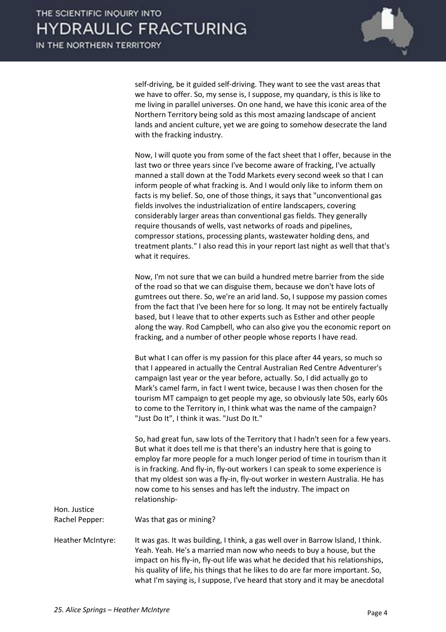

self-driving, be it guided self-driving. They want to see the vast areas that we have to offer. So, my sense is, I suppose, my quandary, is this is like to me living in parallel universes. On one hand, we have this iconic area of the Northern Territory being sold as this most amazing landscape of ancient lands and ancient culture, yet we are going to somehow desecrate the land with the fracking industry.

 Now, I will quote you from some of the fact sheet that I offer, because in the last two or three years since I've become aware of fracking, I've actually manned a stall down at the Todd Markets every second week so that I can inform people of what fracking is. And I would only like to inform them on facts is my belief. So, one of those things, it says that "unconventional gas fields involves the industrialization of entire landscapers, covering considerably larger areas than conventional gas fields. They generally require thousands of wells, vast networks of roads and pipelines, compressor stations, processing plants, wastewater holding dens, and treatment plants." I also read this in your report last night as well that that's what it requires.

 Now, I'm not sure that we can build a hundred metre barrier from the side of the road so that we can disguise them, because we don't have lots of gumtrees out there. So, we're an arid land. So, I suppose my passion comes from the fact that I've been here for so long. It may not be entirely factually based, but I leave that to other experts such as Esther and other people along the way. Rod Campbell, who can also give you the economic report on fracking, and a number of other people whose reports I have read.

 But what I can offer is my passion for this place after 44 years, so much so that I appeared in actually the Central Australian Red Centre Adventurer's campaign last year or the year before, actually. So, I did actually go to Mark's camel farm, in fact I went twice, because I was then chosen for the tourism MT campaign to get people my age, so obviously late 50s, early 60s to come to the Territory in, I think what was the name of the campaign? "Just Do It", I think it was. "Just Do It."

 So, had great fun, saw lots of the Territory that I hadn't seen for a few years. But what it does tell me is that there's an industry here that is going to employ far more people for a much longer period of time in tourism than it is in fracking. And fly-in, fly-out workers I can speak to some experience is that my oldest son was a fly-in, fly-out worker in western Australia. He has now come to his senses and has left the industry. The impact on relationship-

Hon. Justice

Rachel Pepper: Was that gas or mining?

Heather McIntyre: It was gas. It was building, I think, a gas well over in Barrow Island, I think. Yeah. Yeah. He's a married man now who needs to buy a house, but the impact on his fly-in, fly-out life was what he decided that his relationships, his quality of life, his things that he likes to do are far more important. So, what I'm saying is, I suppose, I've heard that story and it may be anecdotal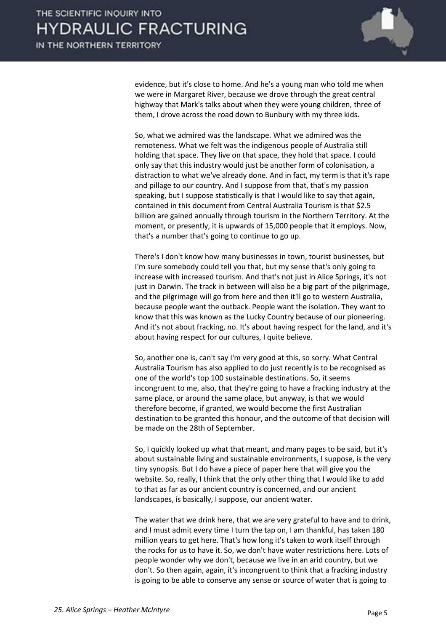

evidence, but it's close to home. And he's a young man who told me when we were in Margaret River, because we drove through the great central highway that Mark's talks about when they were young children, three of them, I drove across the road down to Bunbury with my three kids.

 So, what we admired was the landscape. What we admired was the remoteness. What we felt was the indigenous people of Australia still holding that space. They live on that space, they hold that space. I could only say that this industry would just be another form of colonisation, a distraction to what we've already done. And in fact, my term is that it's rape and pillage to our country. And I suppose from that, that's my passion speaking, but I suppose statistically is that I would like to say that again, contained in this document from Central Australia Tourism is that \$2.5 billion are gained annually through tourism in the Northern Territory. At the moment, or presently, it is upwards of 15,000 people that it employs. Now, that's a number that's going to continue to go up.

 There's I don't know how many businesses in town, tourist businesses, but I'm sure somebody could tell you that, but my sense that's only going to increase with increased tourism. And that's not just in Alice Springs, it's not just in Darwin. The track in between will also be a big part of the pilgrimage, and the pilgrimage will go from here and then it'll go to western Australia, because people want the outback. People want the isolation. They want to know that this was known as the Lucky Country because of our pioneering. And it's not about fracking, no. It's about having respect for the land, and it's about having respect for our cultures, I quite believe.

 So, another one is, can't say I'm very good at this, so sorry. What Central Australia Tourism has also applied to do just recently is to be recognised as one of the world's top 100 sustainable destinations. So, it seems incongruent to me, also, that they're going to have a fracking industry at the same place, or around the same place, but anyway, is that we would therefore become, if granted, we would become the first Australian destination to be granted this honour, and the outcome of that decision will be made on the 28th of September.

 So, I quickly looked up what that meant, and many pages to be said, but it's about sustainable living and sustainable environments, I suppose, is the very tiny synopsis. But I do have a piece of paper here that will give you the website. So, really, I think that the only other thing that I would like to add to that as far as our ancient country is concerned, and our ancient landscapes, is basically, I suppose, our ancient water.

 The water that we drink here, that we are very grateful to have and to drink, and I must admit every time I turn the tap on, I am thankful, has taken 180 million years to get here. That's how long it's taken to work itself through the rocks for us to have it. So, we don't have water restrictions here. Lots of people wonder why we don't, because we live in an arid country, but we don't. So then again, again, it's incongruent to think that a fracking industry is going to be able to conserve any sense or source of water that is going to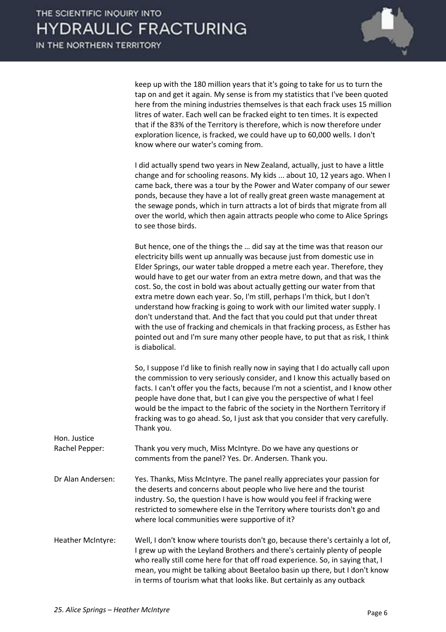

keep up with the 180 million years that it's going to take for us to turn the tap on and get it again. My sense is from my statistics that I've been quoted here from the mining industries themselves is that each frack uses 15 million litres of water. Each well can be fracked eight to ten times. It is expected that if the 83% of the Territory is therefore, which is now therefore under exploration licence, is fracked, we could have up to 60,000 wells. I don't know where our water's coming from.

 I did actually spend two years in New Zealand, actually, just to have a little change and for schooling reasons. My kids ... about 10, 12 years ago. When I came back, there was a tour by the Power and Water company of our sewer ponds, because they have a lot of really great green waste management at the sewage ponds, which in turn attracts a lot of birds that migrate from all over the world, which then again attracts people who come to Alice Springs to see those birds.

But hence, one of the things the ... did say at the time was that reason our electricity bills went up annually was because just from domestic use in Elder Springs, our water table dropped a metre each year. Therefore, they would have to get our water from an extra metre down, and that was the cost. So, the cost in bold was about actually getting our water from that extra metre down each year. So, I'm still, perhaps I'm thick, but I don't understand how fracking is going to work with our limited water supply. I don't understand that. And the fact that you could put that under threat with the use of fracking and chemicals in that fracking process, as Esther has pointed out and I'm sure many other people have, to put that as risk, I think is diabolical.

 So, I suppose I'd like to finish really now in saying that I do actually call upon the commission to very seriously consider, and I know this actually based on facts. I can't offer you the facts, because I'm not a scientist, and I know other people have done that, but I can give you the perspective of what I feel would be the impact to the fabric of the society in the Northern Territory if fracking was to go ahead. So, I just ask that you consider that very carefully. Thank you.

| Hon. Justice             |                                                                                                                                                                                                                                                                                                                                                                                                         |
|--------------------------|---------------------------------------------------------------------------------------------------------------------------------------------------------------------------------------------------------------------------------------------------------------------------------------------------------------------------------------------------------------------------------------------------------|
| Rachel Pepper:           | Thank you very much, Miss McIntyre. Do we have any questions or<br>comments from the panel? Yes. Dr. Andersen. Thank you.                                                                                                                                                                                                                                                                               |
| Dr Alan Andersen:        | Yes. Thanks, Miss McIntyre. The panel really appreciates your passion for<br>the deserts and concerns about people who live here and the tourist<br>industry. So, the question I have is how would you feel if fracking were<br>restricted to somewhere else in the Territory where tourists don't go and<br>where local communities were supportive of it?                                             |
| <b>Heather McIntyre:</b> | Well, I don't know where tourists don't go, because there's certainly a lot of,<br>I grew up with the Leyland Brothers and there's certainly plenty of people<br>who really still come here for that off road experience. So, in saying that, I<br>mean, you might be talking about Beetaloo basin up there, but I don't know<br>in terms of tourism what that looks like. But certainly as any outback |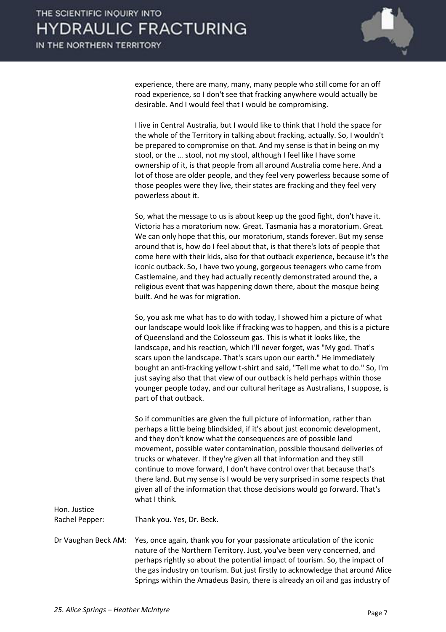

experience, there are many, many, many people who still come for an off road experience, so I don't see that fracking anywhere would actually be desirable. And I would feel that I would be compromising.

 I live in Central Australia, but I would like to think that I hold the space for the whole of the Territory in talking about fracking, actually. So, I wouldn't be prepared to compromise on that. And my sense is that in being on my stool, or the ... stool, not my stool, although I feel like I have some ownership of it, is that people from all around Australia come here. And a lot of those are older people, and they feel very powerless because some of those peoples were they live, their states are fracking and they feel very powerless about it.

 So, what the message to us is about keep up the good fight, don't have it. Victoria has a moratorium now. Great. Tasmania has a moratorium. Great. We can only hope that this, our moratorium, stands forever. But my sense around that is, how do I feel about that, is that there's lots of people that come here with their kids, also for that outback experience, because it's the iconic outback. So, I have two young, gorgeous teenagers who came from Castlemaine, and they had actually recently demonstrated around the, a religious event that was happening down there, about the mosque being built. And he was for migration.

 So, you ask me what has to do with today, I showed him a picture of what our landscape would look like if fracking was to happen, and this is a picture of Queensland and the Colosseum gas. This is what it looks like, the landscape, and his reaction, which I'll never forget, was "My god. That's scars upon the landscape. That's scars upon our earth." He immediately bought an anti-fracking yellow t-shirt and said, "Tell me what to do." So, I'm just saying also that that view of our outback is held perhaps within those younger people today, and our cultural heritage as Australians, I suppose, is part of that outback.

 So if communities are given the full picture of information, rather than perhaps a little being blindsided, if it's about just economic development, and they don't know what the consequences are of possible land movement, possible water contamination, possible thousand deliveries of trucks or whatever. If they're given all that information and they still continue to move forward, I don't have control over that because that's there land. But my sense is I would be very surprised in some respects that given all of the information that those decisions would go forward. That's what I think.

Hon. Justice

Rachel Pepper: Thank you. Yes, Dr. Beck.

Dr Vaughan Beck AM: Yes, once again, thank you for your passionate articulation of the iconic nature of the Northern Territory. Just, you've been very concerned, and perhaps rightly so about the potential impact of tourism. So, the impact of the gas industry on tourism. But just firstly to acknowledge that around Alice Springs within the Amadeus Basin, there is already an oil and gas industry of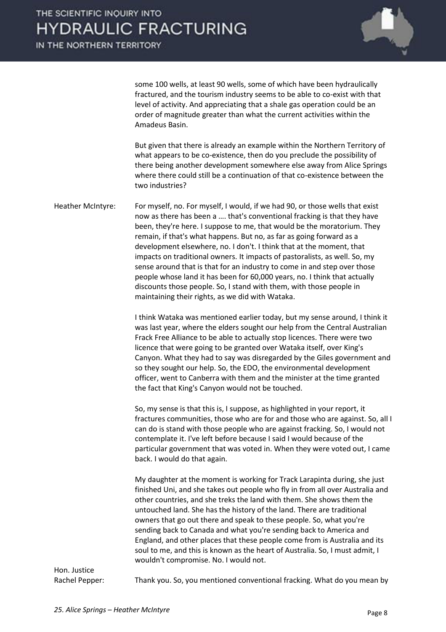IN THE NORTHERN TERRITORY



some 100 wells, at least 90 wells, some of which have been hydraulically fractured, and the tourism industry seems to be able to co-exist with that level of activity. And appreciating that a shale gas operation could be an order of magnitude greater than what the current activities within the Amadeus Basin.

 But given that there is already an example within the Northern Territory of what appears to be co-existence, then do you preclude the possibility of there being another development somewhere else away from Alice Springs where there could still be a continuation of that co-existence between the two industries?

Heather McIntyre: For myself, no. For myself, I would, if we had 90, or those wells that exist now as there has been a .... that's conventional fracking is that they have been, they're here. I suppose to me, that would be the moratorium. They remain, if that's what happens. But no, as far as going forward as a development elsewhere, no. I don't. I think that at the moment, that impacts on traditional owners. It impacts of pastoralists, as well. So, my sense around that is that for an industry to come in and step over those people whose land it has been for 60,000 years, no. I think that actually discounts those people. So, I stand with them, with those people in maintaining their rights, as we did with Wataka.

> I think Wataka was mentioned earlier today, but my sense around, I think it was last year, where the elders sought our help from the Central Australian Frack Free Alliance to be able to actually stop licences. There were two licence that were going to be granted over Wataka itself, over King's Canyon. What they had to say was disregarded by the Giles government and so they sought our help. So, the EDO, the environmental development officer, went to Canberra with them and the minister at the time granted the fact that King's Canyon would not be touched.

> So, my sense is that this is, I suppose, as highlighted in your report, it fractures communities, those who are for and those who are against. So, all I can do is stand with those people who are against fracking. So, I would not contemplate it. I've left before because I said I would because of the particular government that was voted in. When they were voted out, I came back. I would do that again.

My daughter at the moment is working for Track Larapinta during, she just finished Uni, and she takes out people who fly in from all over Australia and other countries, and she treks the land with them. She shows them the untouched land. She has the history of the land. There are traditional owners that go out there and speak to these people. So, what you're sending back to Canada and what you're sending back to America and England, and other places that these people come from is Australia and its soul to me, and this is known as the heart of Australia. So, I must admit, I wouldn't compromise. No. I would not.

Hon. Justice

Rachel Pepper: Thank you. So, you mentioned conventional fracking. What do you mean by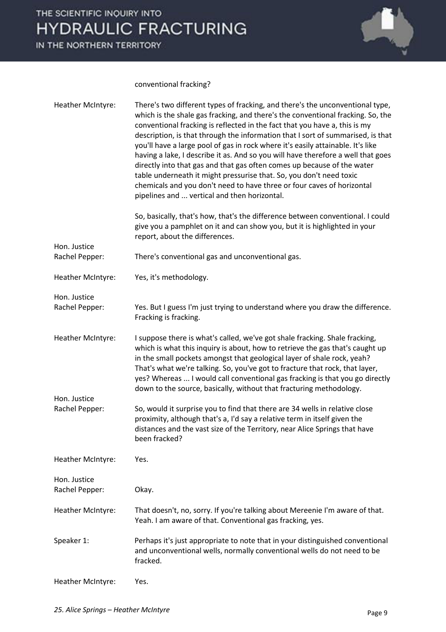IN THE NORTHERN TERRITORY



conventional fracking?

| <b>Heather McIntyre:</b>          | There's two different types of fracking, and there's the unconventional type,<br>which is the shale gas fracking, and there's the conventional fracking. So, the<br>conventional fracking is reflected in the fact that you have a, this is my<br>description, is that through the information that I sort of summarised, is that<br>you'll have a large pool of gas in rock where it's easily attainable. It's like<br>having a lake, I describe it as. And so you will have therefore a well that goes<br>directly into that gas and that gas often comes up because of the water<br>table underneath it might pressurise that. So, you don't need toxic<br>chemicals and you don't need to have three or four caves of horizontal<br>pipelines and  vertical and then horizontal.<br>So, basically, that's how, that's the difference between conventional. I could<br>give you a pamphlet on it and can show you, but it is highlighted in your |
|-----------------------------------|-----------------------------------------------------------------------------------------------------------------------------------------------------------------------------------------------------------------------------------------------------------------------------------------------------------------------------------------------------------------------------------------------------------------------------------------------------------------------------------------------------------------------------------------------------------------------------------------------------------------------------------------------------------------------------------------------------------------------------------------------------------------------------------------------------------------------------------------------------------------------------------------------------------------------------------------------------|
|                                   | report, about the differences.                                                                                                                                                                                                                                                                                                                                                                                                                                                                                                                                                                                                                                                                                                                                                                                                                                                                                                                      |
| Hon. Justice<br>Rachel Pepper:    | There's conventional gas and unconventional gas.                                                                                                                                                                                                                                                                                                                                                                                                                                                                                                                                                                                                                                                                                                                                                                                                                                                                                                    |
| Heather McIntyre:                 | Yes, it's methodology.                                                                                                                                                                                                                                                                                                                                                                                                                                                                                                                                                                                                                                                                                                                                                                                                                                                                                                                              |
| Hon. Justice                      |                                                                                                                                                                                                                                                                                                                                                                                                                                                                                                                                                                                                                                                                                                                                                                                                                                                                                                                                                     |
| Rachel Pepper:                    | Yes. But I guess I'm just trying to understand where you draw the difference.<br>Fracking is fracking.                                                                                                                                                                                                                                                                                                                                                                                                                                                                                                                                                                                                                                                                                                                                                                                                                                              |
| Heather McIntyre:<br>Hon. Justice | I suppose there is what's called, we've got shale fracking. Shale fracking,<br>which is what this inquiry is about, how to retrieve the gas that's caught up<br>in the small pockets amongst that geological layer of shale rock, yeah?<br>That's what we're talking. So, you've got to fracture that rock, that layer,<br>yes? Whereas  I would call conventional gas fracking is that you go directly<br>down to the source, basically, without that fracturing methodology.                                                                                                                                                                                                                                                                                                                                                                                                                                                                      |
| Rachel Pepper:                    | So, would it surprise you to find that there are 34 wells in relative close<br>proximity, although that's a, I'd say a relative term in itself given the<br>distances and the vast size of the Territory, near Alice Springs that have<br>been fracked?                                                                                                                                                                                                                                                                                                                                                                                                                                                                                                                                                                                                                                                                                             |
| Heather McIntyre:                 | Yes.                                                                                                                                                                                                                                                                                                                                                                                                                                                                                                                                                                                                                                                                                                                                                                                                                                                                                                                                                |
| Hon. Justice<br>Rachel Pepper:    | Okay.                                                                                                                                                                                                                                                                                                                                                                                                                                                                                                                                                                                                                                                                                                                                                                                                                                                                                                                                               |
| Heather McIntyre:                 | That doesn't, no, sorry. If you're talking about Mereenie I'm aware of that.<br>Yeah. I am aware of that. Conventional gas fracking, yes.                                                                                                                                                                                                                                                                                                                                                                                                                                                                                                                                                                                                                                                                                                                                                                                                           |
| Speaker 1:                        | Perhaps it's just appropriate to note that in your distinguished conventional<br>and unconventional wells, normally conventional wells do not need to be<br>fracked.                                                                                                                                                                                                                                                                                                                                                                                                                                                                                                                                                                                                                                                                                                                                                                                |
| Heather McIntyre:                 | Yes.                                                                                                                                                                                                                                                                                                                                                                                                                                                                                                                                                                                                                                                                                                                                                                                                                                                                                                                                                |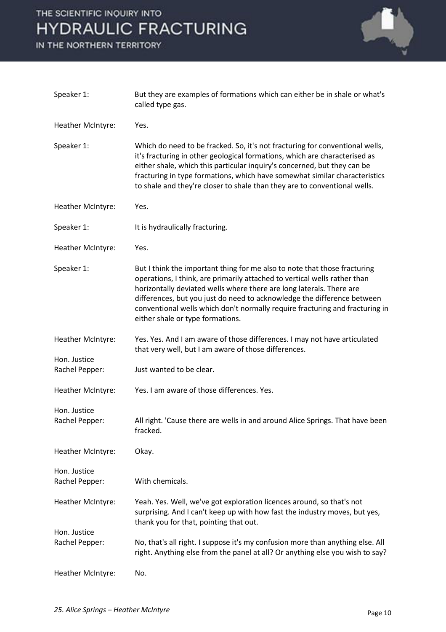IN THE NORTHERN TERRITORY



| Speaker 1:                     | But they are examples of formations which can either be in shale or what's<br>called type gas.                                                                                                                                                                                                                                                                                                                                |
|--------------------------------|-------------------------------------------------------------------------------------------------------------------------------------------------------------------------------------------------------------------------------------------------------------------------------------------------------------------------------------------------------------------------------------------------------------------------------|
| Heather McIntyre:              | Yes.                                                                                                                                                                                                                                                                                                                                                                                                                          |
| Speaker 1:                     | Which do need to be fracked. So, it's not fracturing for conventional wells,<br>it's fracturing in other geological formations, which are characterised as<br>either shale, which this particular inquiry's concerned, but they can be<br>fracturing in type formations, which have somewhat similar characteristics<br>to shale and they're closer to shale than they are to conventional wells.                             |
| Heather McIntyre:              | Yes.                                                                                                                                                                                                                                                                                                                                                                                                                          |
| Speaker 1:                     | It is hydraulically fracturing.                                                                                                                                                                                                                                                                                                                                                                                               |
| Heather McIntyre:              | Yes.                                                                                                                                                                                                                                                                                                                                                                                                                          |
| Speaker 1:                     | But I think the important thing for me also to note that those fracturing<br>operations, I think, are primarily attached to vertical wells rather than<br>horizontally deviated wells where there are long laterals. There are<br>differences, but you just do need to acknowledge the difference between<br>conventional wells which don't normally require fracturing and fracturing in<br>either shale or type formations. |
| Heather McIntyre:              | Yes. Yes. And I am aware of those differences. I may not have articulated<br>that very well, but I am aware of those differences.                                                                                                                                                                                                                                                                                             |
| Hon. Justice<br>Rachel Pepper: | Just wanted to be clear.                                                                                                                                                                                                                                                                                                                                                                                                      |
| Heather McIntyre:              | Yes. I am aware of those differences. Yes.                                                                                                                                                                                                                                                                                                                                                                                    |
| Hon. Justice<br>Rachel Pepper: | All right. 'Cause there are wells in and around Alice Springs. That have been<br>fracked.                                                                                                                                                                                                                                                                                                                                     |
| Heather McIntyre:              | Okay.                                                                                                                                                                                                                                                                                                                                                                                                                         |
| Hon. Justice<br>Rachel Pepper: | With chemicals.                                                                                                                                                                                                                                                                                                                                                                                                               |
| Heather McIntyre:              | Yeah. Yes. Well, we've got exploration licences around, so that's not<br>surprising. And I can't keep up with how fast the industry moves, but yes,<br>thank you for that, pointing that out.                                                                                                                                                                                                                                 |
| Hon. Justice<br>Rachel Pepper: | No, that's all right. I suppose it's my confusion more than anything else. All<br>right. Anything else from the panel at all? Or anything else you wish to say?                                                                                                                                                                                                                                                               |
| Heather McIntyre:              | No.                                                                                                                                                                                                                                                                                                                                                                                                                           |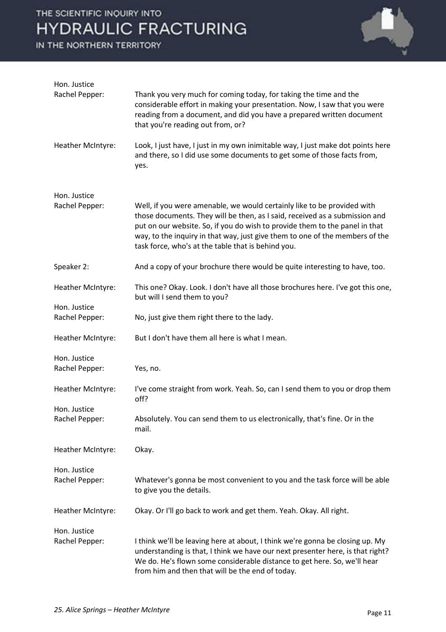IN THE NORTHERN TERRITORY



| Hon. Justice                   |                                                                                                                                                                                                                                                                                                                                                                             |
|--------------------------------|-----------------------------------------------------------------------------------------------------------------------------------------------------------------------------------------------------------------------------------------------------------------------------------------------------------------------------------------------------------------------------|
| Rachel Pepper:                 | Thank you very much for coming today, for taking the time and the<br>considerable effort in making your presentation. Now, I saw that you were<br>reading from a document, and did you have a prepared written document<br>that you're reading out from, or?                                                                                                                |
| Heather McIntyre:              | Look, I just have, I just in my own inimitable way, I just make dot points here<br>and there, so I did use some documents to get some of those facts from,<br>yes.                                                                                                                                                                                                          |
| Hon. Justice<br>Rachel Pepper: | Well, if you were amenable, we would certainly like to be provided with<br>those documents. They will be then, as I said, received as a submission and<br>put on our website. So, if you do wish to provide them to the panel in that<br>way, to the inquiry in that way, just give them to one of the members of the<br>task force, who's at the table that is behind you. |
| Speaker 2:                     | And a copy of your brochure there would be quite interesting to have, too.                                                                                                                                                                                                                                                                                                  |
| Heather McIntyre:              | This one? Okay. Look. I don't have all those brochures here. I've got this one,<br>but will I send them to you?                                                                                                                                                                                                                                                             |
| Hon. Justice<br>Rachel Pepper: | No, just give them right there to the lady.                                                                                                                                                                                                                                                                                                                                 |
| Heather McIntyre:              | But I don't have them all here is what I mean.                                                                                                                                                                                                                                                                                                                              |
| Hon. Justice<br>Rachel Pepper: | Yes, no.                                                                                                                                                                                                                                                                                                                                                                    |
| Heather McIntyre:              | I've come straight from work. Yeah. So, can I send them to you or drop them<br>off?                                                                                                                                                                                                                                                                                         |
| Hon. Justice<br>Rachel Pepper: | Absolutely. You can send them to us electronically, that's fine. Or in the<br>mail.                                                                                                                                                                                                                                                                                         |
| Heather McIntyre:              | Okay.                                                                                                                                                                                                                                                                                                                                                                       |
| Hon. Justice                   |                                                                                                                                                                                                                                                                                                                                                                             |
| Rachel Pepper:                 | Whatever's gonna be most convenient to you and the task force will be able<br>to give you the details.                                                                                                                                                                                                                                                                      |
| Heather McIntyre:              | Okay. Or I'll go back to work and get them. Yeah. Okay. All right.                                                                                                                                                                                                                                                                                                          |
| Hon. Justice                   |                                                                                                                                                                                                                                                                                                                                                                             |
| Rachel Pepper:                 | I think we'll be leaving here at about, I think we're gonna be closing up. My<br>understanding is that, I think we have our next presenter here, is that right?<br>We do. He's flown some considerable distance to get here. So, we'll hear                                                                                                                                 |